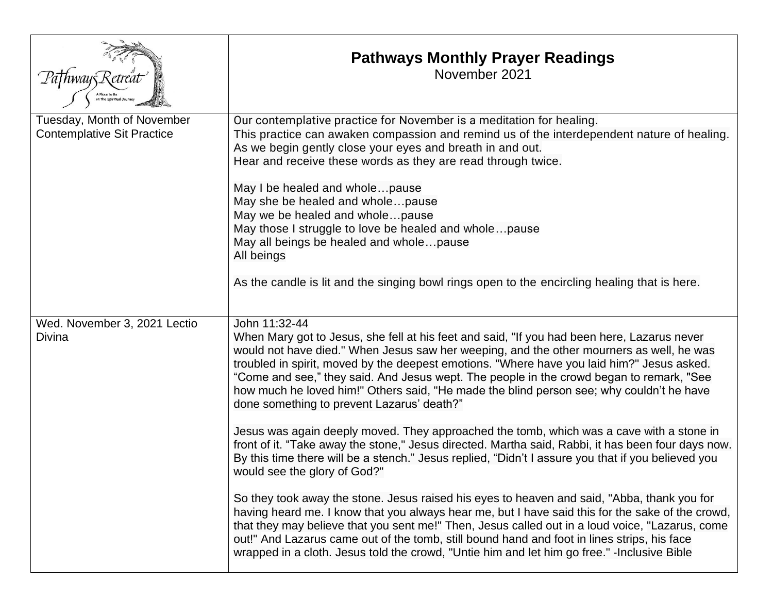|                                                                 | <b>Pathways Monthly Prayer Readings</b><br>November 2021                                                                                                                                                                                                                                                                                                                                                                                                                                                                                                                                                                   |
|-----------------------------------------------------------------|----------------------------------------------------------------------------------------------------------------------------------------------------------------------------------------------------------------------------------------------------------------------------------------------------------------------------------------------------------------------------------------------------------------------------------------------------------------------------------------------------------------------------------------------------------------------------------------------------------------------------|
| Tuesday, Month of November<br><b>Contemplative Sit Practice</b> | Our contemplative practice for November is a meditation for healing.<br>This practice can awaken compassion and remind us of the interdependent nature of healing.<br>As we begin gently close your eyes and breath in and out.<br>Hear and receive these words as they are read through twice.<br>May I be healed and wholepause<br>May she be healed and wholepause<br>May we be healed and wholepause<br>May those I struggle to love be healed and wholepause<br>May all beings be healed and wholepause<br>All beings<br>As the candle is lit and the singing bowl rings open to the encircling healing that is here. |
|                                                                 |                                                                                                                                                                                                                                                                                                                                                                                                                                                                                                                                                                                                                            |
| Wed. November 3, 2021 Lectio<br>Divina                          | John 11:32-44<br>When Mary got to Jesus, she fell at his feet and said, "If you had been here, Lazarus never<br>would not have died." When Jesus saw her weeping, and the other mourners as well, he was<br>troubled in spirit, moved by the deepest emotions. "Where have you laid him?" Jesus asked.<br>"Come and see," they said. And Jesus wept. The people in the crowd began to remark, "See<br>how much he loved him!" Others said, "He made the blind person see; why couldn't he have<br>done something to prevent Lazarus' death?"                                                                               |
|                                                                 | Jesus was again deeply moved. They approached the tomb, which was a cave with a stone in<br>front of it. "Take away the stone," Jesus directed. Martha said, Rabbi, it has been four days now.<br>By this time there will be a stench." Jesus replied, "Didn't I assure you that if you believed you<br>would see the glory of God?"                                                                                                                                                                                                                                                                                       |
|                                                                 | So they took away the stone. Jesus raised his eyes to heaven and said, "Abba, thank you for<br>having heard me. I know that you always hear me, but I have said this for the sake of the crowd,<br>that they may believe that you sent me!" Then, Jesus called out in a loud voice, "Lazarus, come<br>out!" And Lazarus came out of the tomb, still bound hand and foot in lines strips, his face<br>wrapped in a cloth. Jesus told the crowd, "Untie him and let him go free." - Inclusive Bible                                                                                                                          |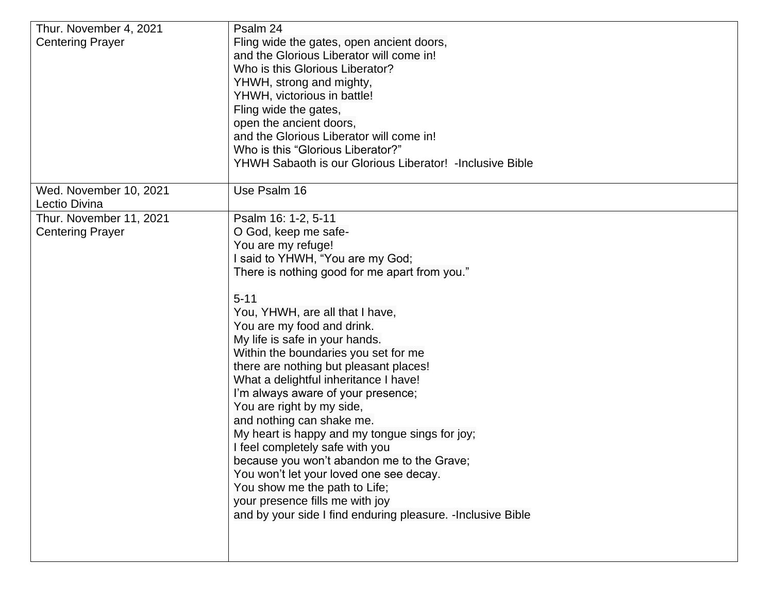| Thur. November 4, 2021  | Psalm 24                                                     |
|-------------------------|--------------------------------------------------------------|
| <b>Centering Prayer</b> | Fling wide the gates, open ancient doors,                    |
|                         | and the Glorious Liberator will come in!                     |
|                         | Who is this Glorious Liberator?                              |
|                         | YHWH, strong and mighty,                                     |
|                         | YHWH, victorious in battle!                                  |
|                         | Fling wide the gates,                                        |
|                         | open the ancient doors,                                      |
|                         | and the Glorious Liberator will come in!                     |
|                         | Who is this "Glorious Liberator?"                            |
|                         | YHWH Sabaoth is our Glorious Liberator! - Inclusive Bible    |
| Wed. November 10, 2021  | Use Psalm 16                                                 |
| Lectio Divina           |                                                              |
| Thur. November 11, 2021 | Psalm 16: 1-2, 5-11                                          |
| <b>Centering Prayer</b> | O God, keep me safe-<br>You are my refuge!                   |
|                         | I said to YHWH, "You are my God;                             |
|                         | There is nothing good for me apart from you."                |
|                         |                                                              |
|                         | $5 - 11$                                                     |
|                         | You, YHWH, are all that I have,                              |
|                         | You are my food and drink.                                   |
|                         | My life is safe in your hands.                               |
|                         | Within the boundaries you set for me                         |
|                         | there are nothing but pleasant places!                       |
|                         | What a delightful inheritance I have!                        |
|                         | I'm always aware of your presence;                           |
|                         | You are right by my side,                                    |
|                         | and nothing can shake me.                                    |
|                         | My heart is happy and my tongue sings for joy;               |
|                         | I feel completely safe with you                              |
|                         | because you won't abandon me to the Grave;                   |
|                         | You won't let your loved one see decay.                      |
|                         | You show me the path to Life;                                |
|                         | your presence fills me with joy                              |
|                         | and by your side I find enduring pleasure. - Inclusive Bible |
|                         |                                                              |
|                         |                                                              |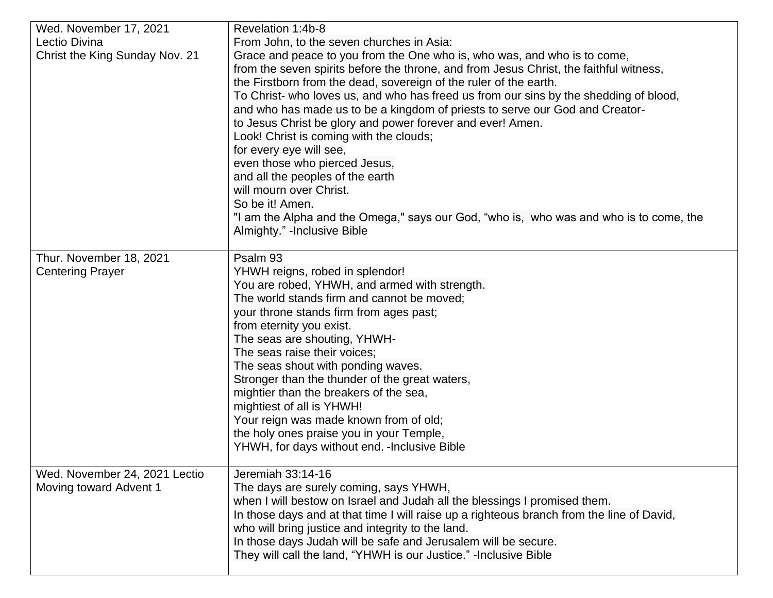| Wed. November 17, 2021         | Revelation 1:4b-8                                                                                                                                                                                                                                                                                                                                                                                                                                                                                                                                                                                                                                                                                                                                                                                |
|--------------------------------|--------------------------------------------------------------------------------------------------------------------------------------------------------------------------------------------------------------------------------------------------------------------------------------------------------------------------------------------------------------------------------------------------------------------------------------------------------------------------------------------------------------------------------------------------------------------------------------------------------------------------------------------------------------------------------------------------------------------------------------------------------------------------------------------------|
| Lectio Divina                  | From John, to the seven churches in Asia:                                                                                                                                                                                                                                                                                                                                                                                                                                                                                                                                                                                                                                                                                                                                                        |
| Christ the King Sunday Nov. 21 | Grace and peace to you from the One who is, who was, and who is to come,<br>from the seven spirits before the throne, and from Jesus Christ, the faithful witness,<br>the Firstborn from the dead, sovereign of the ruler of the earth.<br>To Christ- who loves us, and who has freed us from our sins by the shedding of blood,<br>and who has made us to be a kingdom of priests to serve our God and Creator-<br>to Jesus Christ be glory and power forever and ever! Amen.<br>Look! Christ is coming with the clouds;<br>for every eye will see,<br>even those who pierced Jesus,<br>and all the peoples of the earth<br>will mourn over Christ.<br>So be it! Amen.<br>"I am the Alpha and the Omega," says our God, "who is, who was and who is to come, the<br>Almighty." -Inclusive Bible |
|                                |                                                                                                                                                                                                                                                                                                                                                                                                                                                                                                                                                                                                                                                                                                                                                                                                  |
| Thur. November 18, 2021        | Psalm 93                                                                                                                                                                                                                                                                                                                                                                                                                                                                                                                                                                                                                                                                                                                                                                                         |
| <b>Centering Prayer</b>        | YHWH reigns, robed in splendor!                                                                                                                                                                                                                                                                                                                                                                                                                                                                                                                                                                                                                                                                                                                                                                  |
|                                | You are robed, YHWH, and armed with strength.<br>The world stands firm and cannot be moved;                                                                                                                                                                                                                                                                                                                                                                                                                                                                                                                                                                                                                                                                                                      |
|                                | your throne stands firm from ages past;                                                                                                                                                                                                                                                                                                                                                                                                                                                                                                                                                                                                                                                                                                                                                          |
|                                | from eternity you exist.                                                                                                                                                                                                                                                                                                                                                                                                                                                                                                                                                                                                                                                                                                                                                                         |
|                                | The seas are shouting, YHWH-                                                                                                                                                                                                                                                                                                                                                                                                                                                                                                                                                                                                                                                                                                                                                                     |
|                                | The seas raise their voices;                                                                                                                                                                                                                                                                                                                                                                                                                                                                                                                                                                                                                                                                                                                                                                     |
|                                | The seas shout with ponding waves.                                                                                                                                                                                                                                                                                                                                                                                                                                                                                                                                                                                                                                                                                                                                                               |
|                                | Stronger than the thunder of the great waters,                                                                                                                                                                                                                                                                                                                                                                                                                                                                                                                                                                                                                                                                                                                                                   |
|                                | mightier than the breakers of the sea,                                                                                                                                                                                                                                                                                                                                                                                                                                                                                                                                                                                                                                                                                                                                                           |
|                                | mightiest of all is YHWH!                                                                                                                                                                                                                                                                                                                                                                                                                                                                                                                                                                                                                                                                                                                                                                        |
|                                | Your reign was made known from of old;                                                                                                                                                                                                                                                                                                                                                                                                                                                                                                                                                                                                                                                                                                                                                           |
|                                | the holy ones praise you in your Temple,                                                                                                                                                                                                                                                                                                                                                                                                                                                                                                                                                                                                                                                                                                                                                         |
|                                | YHWH, for days without end. - Inclusive Bible                                                                                                                                                                                                                                                                                                                                                                                                                                                                                                                                                                                                                                                                                                                                                    |
| Wed. November 24, 2021 Lectio  | Jeremiah 33:14-16                                                                                                                                                                                                                                                                                                                                                                                                                                                                                                                                                                                                                                                                                                                                                                                |
| Moving toward Advent 1         | The days are surely coming, says YHWH,                                                                                                                                                                                                                                                                                                                                                                                                                                                                                                                                                                                                                                                                                                                                                           |
|                                | when I will bestow on Israel and Judah all the blessings I promised them.                                                                                                                                                                                                                                                                                                                                                                                                                                                                                                                                                                                                                                                                                                                        |
|                                | In those days and at that time I will raise up a righteous branch from the line of David,                                                                                                                                                                                                                                                                                                                                                                                                                                                                                                                                                                                                                                                                                                        |
|                                | who will bring justice and integrity to the land.                                                                                                                                                                                                                                                                                                                                                                                                                                                                                                                                                                                                                                                                                                                                                |
|                                | In those days Judah will be safe and Jerusalem will be secure.                                                                                                                                                                                                                                                                                                                                                                                                                                                                                                                                                                                                                                                                                                                                   |
|                                | They will call the land, "YHWH is our Justice." -Inclusive Bible                                                                                                                                                                                                                                                                                                                                                                                                                                                                                                                                                                                                                                                                                                                                 |